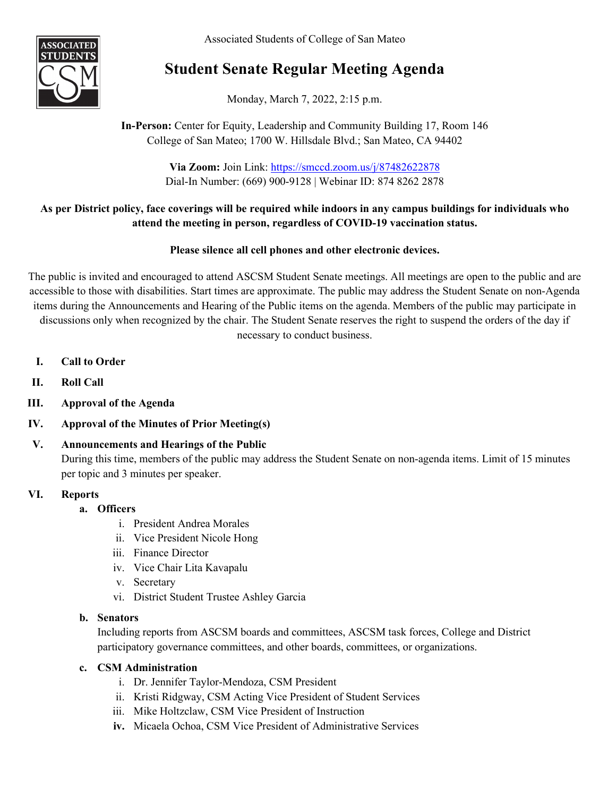Associated Students of College of San Mateo



# **Student Senate Regular Meeting Agenda**

Monday, March 7, 2022, 2:15 p.m.

## **In-Person:** Center for Equity, Leadership and Community Building 17, Room 146 College of San Mateo; 1700 W. Hillsdale Blvd.; San Mateo, CA 94402

**Via Zoom:** Join Link: <https://smccd.zoom.us/j/87482622878> Dial-In Number: (669) 900-9128 | Webinar ID: 874 8262 2878

## **As per District policy, face coverings will be required while indoors in any campus buildings for individuals who attend the meeting in person, regardless of COVID-19 vaccination status.**

## **Please silence all cell phones and other electronic devices.**

The public is invited and encouraged to attend ASCSM Student Senate meetings. All meetings are open to the public and are accessible to those with disabilities. Start times are approximate. The public may address the Student Senate on non-Agenda items during the Announcements and Hearing of the Public items on the agenda. Members of the public may participate in discussions only when recognized by the chair. The Student Senate reserves the right to suspend the orders of the day if necessary to conduct business.

- **I. Call to Order**
- **II. Roll Call**
- **III. Approval of the Agenda**
- **IV. Approval of the Minutes of Prior Meeting(s)**

## **V. Announcements and Hearings of the Public** During this time, members of the public may address the Student Senate on non-agenda items. Limit of 15 minutes per topic and 3 minutes per speaker.

#### **VI. Reports**

#### **a. Officers**

- i. President Andrea Morales
- ii. Vice President Nicole Hong
- iii. Finance Director
- iv. Vice Chair Lita Kavapalu
- v. Secretary
- vi. District Student Trustee Ashley Garcia

#### **b. Senators**

Including reports from ASCSM boards and committees, ASCSM task forces, College and District participatory governance committees, and other boards, committees, or organizations.

#### **c. CSM Administration**

- i. Dr. Jennifer Taylor-Mendoza, CSM President
- ii. Kristi Ridgway, CSM Acting Vice President of Student Services
- iii. Mike Holtzclaw, CSM Vice President of Instruction
- **iv.** Micaela Ochoa, CSM Vice President of Administrative Services